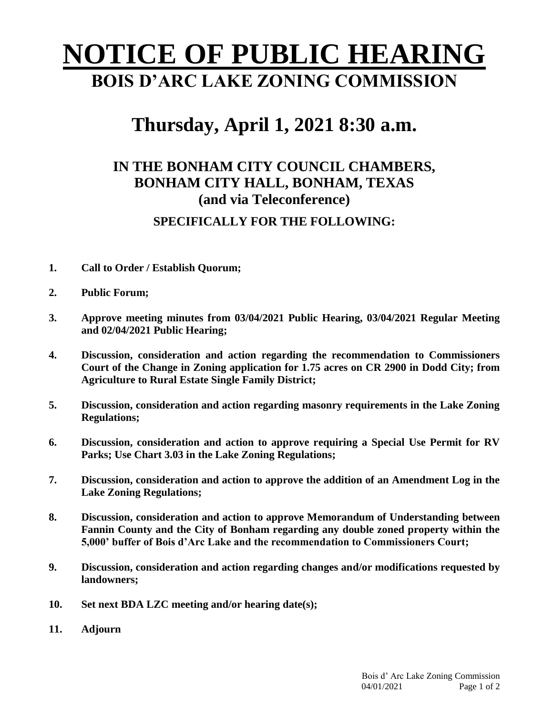## **NOTICE OF PUBLIC HEARING BOIS D'ARC LAKE ZONING COMMISSION**

## **Thursday, April 1, 2021 8:30 a.m.**

## **IN THE BONHAM CITY COUNCIL CHAMBERS, BONHAM CITY HALL, BONHAM, TEXAS (and via Teleconference) SPECIFICALLY FOR THE FOLLOWING:**

- **1. Call to Order / Establish Quorum;**
- **2. Public Forum;**
- **3. Approve meeting minutes from 03/04/2021 Public Hearing, 03/04/2021 Regular Meeting and 02/04/2021 Public Hearing;**
- **4. Discussion, consideration and action regarding the recommendation to Commissioners Court of the Change in Zoning application for 1.75 acres on CR 2900 in Dodd City; from Agriculture to Rural Estate Single Family District;**
- **5. Discussion, consideration and action regarding masonry requirements in the Lake Zoning Regulations;**
- **6. Discussion, consideration and action to approve requiring a Special Use Permit for RV Parks; Use Chart 3.03 in the Lake Zoning Regulations;**
- **7. Discussion, consideration and action to approve the addition of an Amendment Log in the Lake Zoning Regulations;**
- **8. Discussion, consideration and action to approve Memorandum of Understanding between Fannin County and the City of Bonham regarding any double zoned property within the 5,000' buffer of Bois d'Arc Lake and the recommendation to Commissioners Court;**
- **9. Discussion, consideration and action regarding changes and/or modifications requested by landowners;**
- **10. Set next BDA LZC meeting and/or hearing date(s);**
- **11. Adjourn**